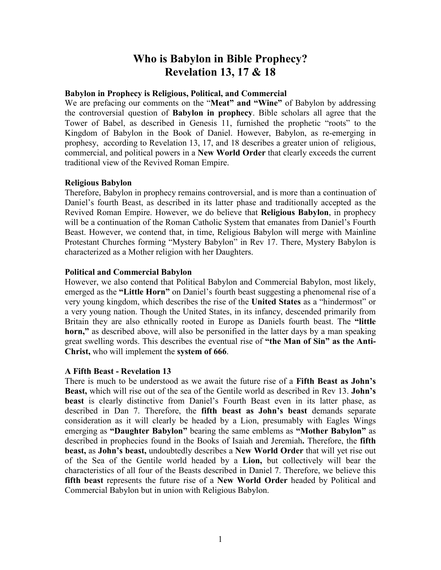# **Who is Babylon in Bible Prophecy? Revelation 13, 17 & 18**

## **Babylon in Prophecy is Religious, Political, and Commercial**

We are prefacing our comments on the "**Meat" and "Wine"** of Babylon by addressing the controversial question of **Babylon in prophecy**. Bible scholars all agree that the Tower of Babel, as described in Genesis 11, furnished the prophetic "roots" to the Kingdom of Babylon in the Book of Daniel. However, Babylon, as re-emerging in prophesy, according to Revelation 13, 17, and 18 describes a greater union of religious, commercial, and political powers in a **New World Order** that clearly exceeds the current traditional view of the Revived Roman Empire.

#### **Religious Babylon**

Therefore, Babylon in prophecy remains controversial, and is more than a continuation of Daniel's fourth Beast, as described in its latter phase and traditionally accepted as the Revived Roman Empire. However, we do believe that **Religious Babylon**, in prophecy will be a continuation of the Roman Catholic System that emanates from Daniel's Fourth Beast. However, we contend that, in time, Religious Babylon will merge with Mainline Protestant Churches forming "Mystery Babylon" in Rev 17. There, Mystery Babylon is characterized as a Mother religion with her Daughters.

## **Political and Commercial Babylon**

However, we also contend that Political Babylon and Commercial Babylon, most likely, emerged as the **"Little Horn"** on Daniel's fourth beast suggesting a phenomenal rise of a very young kingdom, which describes the rise of the **United States** as a "hindermost" or a very young nation. Though the United States, in its infancy, descended primarily from Britain they are also ethnically rooted in Europe as Daniels fourth beast. The **"little horn,"** as described above, will also be personified in the latter days by a man speaking great swelling words. This describes the eventual rise of **"the Man of Sin" as the Anti-Christ,** who will implement the **system of 666**.

#### **A Fifth Beast - Revelation 13**

There is much to be understood as we await the future rise of a **Fifth Beast as John's Beast,** which will rise out of the sea of the Gentile world as described in Rev 13. **John's beast** is clearly distinctive from Daniel's Fourth Beast even in its latter phase, as described in Dan 7. Therefore, the **fifth beast as John's beast** demands separate consideration as it will clearly be headed by a Lion, presumably with Eagles Wings emerging as **"Daughter Babylon"** bearing the same emblems as **"Mother Babylon"** as described in prophecies found in the Books of Isaiah and Jeremiah**.** Therefore, the **fifth beast,** as **John's beast,** undoubtedly describes a **New World Order** that will yet rise out of the Sea of the Gentile world headed by a **Lion,** but collectively will bear the characteristics of all four of the Beasts described in Daniel 7. Therefore, we believe this **fifth beast** represents the future rise of a **New World Order** headed by Political and Commercial Babylon but in union with Religious Babylon.